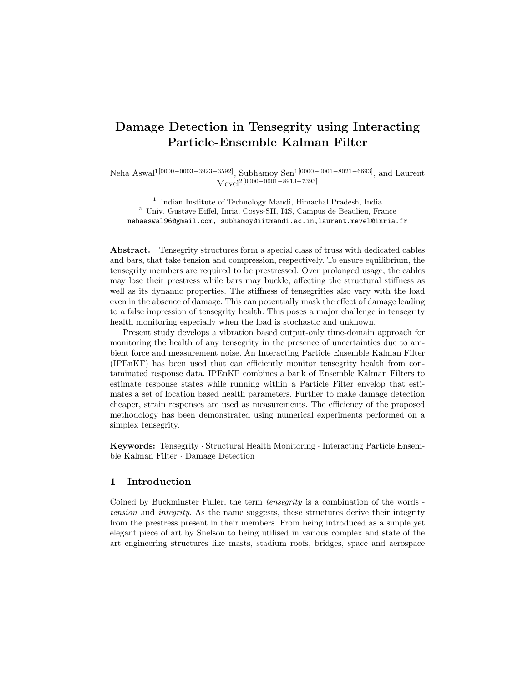# Damage Detection in Tensegrity using Interacting Particle-Ensemble Kalman Filter

Neha Aswal<sup>1</sup><sup>[0000–0003–3923–3592]</sup>, Subhamoy Sen<sup>1</sup><sup>[0000–0001–8021–6693]</sup>, and Laurent Mevel2[0000−0001−8913−7393]

<sup>1</sup> Indian Institute of Technology Mandi, Himachal Pradesh, India  $^2\,$ Univ. Gustave Eiffel, Inria, Cosys-SII, I4S, Campus de Beaulieu, France nehaaswal96@gmail.com, subhamoy@iitmandi.ac.in,laurent.mevel@inria.fr

Abstract. Tensegrity structures form a special class of truss with dedicated cables and bars, that take tension and compression, respectively. To ensure equilibrium, the tensegrity members are required to be prestressed. Over prolonged usage, the cables may lose their prestress while bars may buckle, affecting the structural stiffness as well as its dynamic properties. The stiffness of tensegrities also vary with the load even in the absence of damage. This can potentially mask the effect of damage leading to a false impression of tensegrity health. This poses a major challenge in tensegrity health monitoring especially when the load is stochastic and unknown.

Present study develops a vibration based output-only time-domain approach for monitoring the health of any tensegrity in the presence of uncertainties due to ambient force and measurement noise. An Interacting Particle Ensemble Kalman Filter (IPEnKF) has been used that can efficiently monitor tensegrity health from contaminated response data. IPEnKF combines a bank of Ensemble Kalman Filters to estimate response states while running within a Particle Filter envelop that estimates a set of location based health parameters. Further to make damage detection cheaper, strain responses are used as measurements. The efficiency of the proposed methodology has been demonstrated using numerical experiments performed on a simplex tensegrity.

Keywords: Tensegrity · Structural Health Monitoring · Interacting Particle Ensemble Kalman Filter · Damage Detection

# 1 Introduction

Coined by Buckminster Fuller, the term *tensegrity* is a combination of the words tension and *integrity*. As the name suggests, these structures derive their integrity from the prestress present in their members. From being introduced as a simple yet elegant piece of art by Snelson to being utilised in various complex and state of the art engineering structures like masts, stadium roofs, bridges, space and aerospace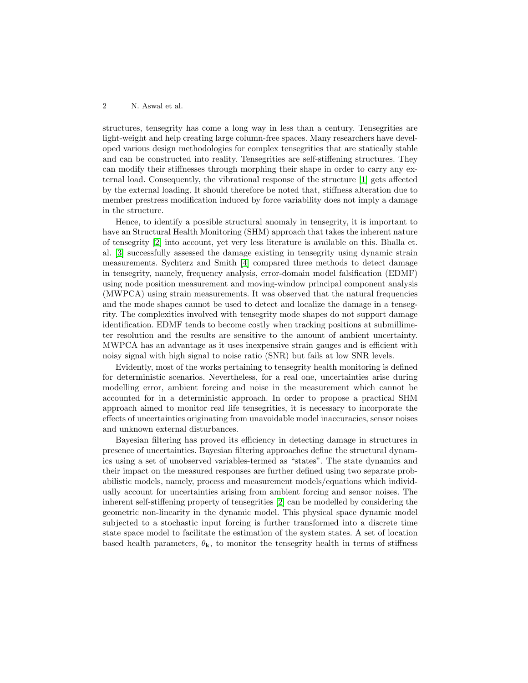structures, tensegrity has come a long way in less than a century. Tensegrities are light-weight and help creating large column-free spaces. Many researchers have developed various design methodologies for complex tensegrities that are statically stable and can be constructed into reality. Tensegrities are self-stiffening structures. They can modify their stiffnesses through morphing their shape in order to carry any external load. Consequently, the vibrational response of the structure [\[1\]](#page-9-0) gets affected by the external loading. It should therefore be noted that, stiffness alteration due to member prestress modification induced by force variability does not imply a damage in the structure.

Hence, to identify a possible structural anomaly in tensegrity, it is important to have an Structural Health Monitoring (SHM) approach that takes the inherent nature of tensegrity [\[2\]](#page-9-1) into account, yet very less literature is available on this. Bhalla et. al. [\[3\]](#page-9-2) successfully assessed the damage existing in tensegrity using dynamic strain measurements. Sychterz and Smith [\[4\]](#page-9-3) compared three methods to detect damage in tensegrity, namely, frequency analysis, error-domain model falsification (EDMF) using node position measurement and moving-window principal component analysis (MWPCA) using strain measurements. It was observed that the natural frequencies and the mode shapes cannot be used to detect and localize the damage in a tensegrity. The complexities involved with tensegrity mode shapes do not support damage identification. EDMF tends to become costly when tracking positions at submillimeter resolution and the results are sensitive to the amount of ambient uncertainty. MWPCA has an advantage as it uses inexpensive strain gauges and is efficient with noisy signal with high signal to noise ratio (SNR) but fails at low SNR levels.

Evidently, most of the works pertaining to tensegrity health monitoring is defined for deterministic scenarios. Nevertheless, for a real one, uncertainties arise during modelling error, ambient forcing and noise in the measurement which cannot be accounted for in a deterministic approach. In order to propose a practical SHM approach aimed to monitor real life tensegrities, it is necessary to incorporate the effects of uncertainties originating from unavoidable model inaccuracies, sensor noises and unknown external disturbances.

Bayesian filtering has proved its efficiency in detecting damage in structures in presence of uncertainties. Bayesian filtering approaches define the structural dynamics using a set of unobserved variables-termed as "states". The state dynamics and their impact on the measured responses are further defined using two separate probabilistic models, namely, process and measurement models/equations which individually account for uncertainties arising from ambient forcing and sensor noises. The inherent self-stiffening property of tensegrities [\[2\]](#page-9-1) can be modelled by considering the geometric non-linearity in the dynamic model. This physical space dynamic model subjected to a stochastic input forcing is further transformed into a discrete time state space model to facilitate the estimation of the system states. A set of location based health parameters,  $\theta_{\mathbf{k}}$ , to monitor the tensegrity health in terms of stiffness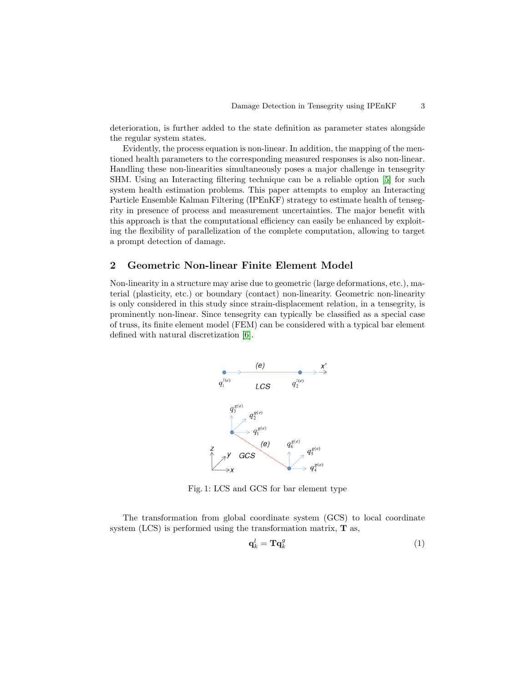deterioration, is further added to the state definition as parameter states alongside the regular system states.

Evidently, the process equation is non-linear. In addition, the mapping of the mentioned health parameters to the corresponding measured responses is also non-linear. Handling these non-linearities simultaneously poses a major challenge in tensegrity SHM. Using an Interacting filtering technique can be a reliable option [\[5\]](#page-9-4) for such system health estimation problems. This paper attempts to employ an Interacting Particle Ensemble Kalman Filtering (IPEnKF) strategy to estimate health of tensegrity in presence of process and measurement uncertainties. The major benefit with this approach is that the computational efficiency can easily be enhanced by exploiting the flexibility of parallelization of the complete computation, allowing to target a prompt detection of damage.

# 2 Geometric Non-linear Finite Element Model

Non-linearity in a structure may arise due to geometric (large deformations, etc.), material (plasticity, etc.) or boundary (contact) non-linearity. Geometric non-linearity is only considered in this study since strain-displacement relation, in a tensegrity, is prominently non-linear. Since tensegrity can typically be classified as a special case of truss, its finite element model (FEM) can be considered with a typical bar element defined with natural discretization [\[6\]](#page-9-5).



Fig. 1: LCS and GCS for bar element type

The transformation from global coordinate system (GCS) to local coordinate system (LCS) is performed using the transformation matrix, T as,

$$
\mathbf{q}_k^l = \mathbf{T}\mathbf{q}_k^g \tag{1}
$$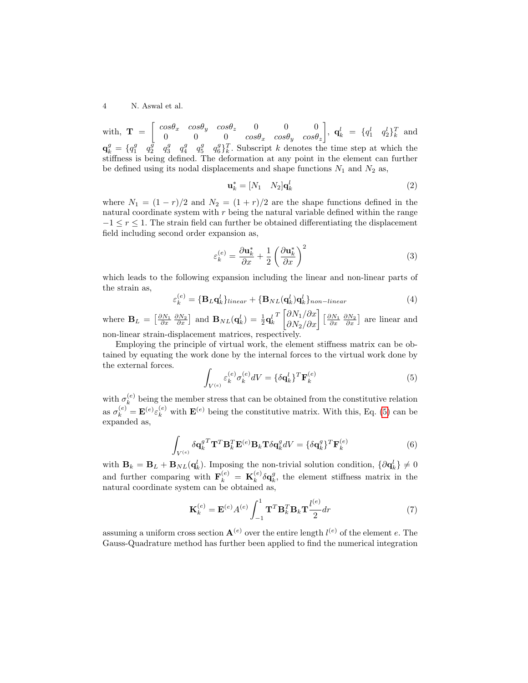with,  $\mathbf{T} = \begin{bmatrix} cos\theta_x & cos\theta_y & cos\theta_z & 0 & 0 & 0 \\ 0 & 0 & 0 & cos\theta_z & cos\theta_z & cos\theta_z \end{bmatrix}$  $0 \hspace{1cm} 0 \hspace{1cm} cos\theta_x \hspace{1cm} cos\theta_y \hspace{1cm} cos\theta_z$  $\Big\}, \mathbf{q}_k^l = \{q_1^l \quad q_2^l\}_k^T \text{ and}$  $\mathbf{q}_k^g = \{q_1^g \quad q_2^g \quad q_3^g \quad q_4^g \quad q_5^g \quad q_6^g\}_k^T$ . Subscript k denotes the time step at which the stiffness is being defined. The deformation at any point in the element can further be defined using its nodal displacements and shape functions  $N_1$  and  $N_2$  as,

$$
\mathbf{u}_k^* = [N_1 \quad N_2] \mathbf{q}_k^l \tag{2}
$$

where  $N_1 = (1 - r)/2$  and  $N_2 = (1 + r)/2$  are the shape functions defined in the natural coordinate system with  $r$  being the natural variable defined within the range  $-1 \leq r \leq 1$ . The strain field can further be obtained differentiating the displacement field including second order expansion as,

$$
\varepsilon_k^{(e)} = \frac{\partial \mathbf{u}_k^*}{\partial x} + \frac{1}{2} \left( \frac{\partial \mathbf{u}_k^*}{\partial x} \right)^2 \tag{3}
$$

which leads to the following expansion including the linear and non-linear parts of the strain as,

<span id="page-3-2"></span>
$$
\varepsilon_k^{(e)} = \{ \mathbf{B}_L \mathbf{q}_k^l \}_{linear} + \{ \mathbf{B}_{NL}(\mathbf{q}_k^l) \mathbf{q}_k^l \}_{non-linear}
$$
\n(4)

where  $\mathbf{B}_L = \begin{bmatrix} \frac{\partial N_1}{\partial x} & \frac{\partial N_2}{\partial x} \end{bmatrix}$  and  $\mathbf{B}_{NL}(\mathbf{q}_k^l) = \frac{1}{2}\mathbf{q}_k^l$  $T\left[\frac{\partial N_1}{\partial x}\right]\left[\frac{\partial N_1}{\partial x} \frac{\partial N_2}{\partial x}\right]$  are linear and non-linear strain-displacement matrices, respectively.

Employing the principle of virtual work, the element stiffness matrix can be obtained by equating the work done by the internal forces to the virtual work done by the external forces.

<span id="page-3-0"></span>
$$
\int_{V^{(e)}} \varepsilon_k^{(e)} \sigma_k^{(e)} dV = \{\delta \mathbf{q}_k^l\}^T \mathbf{F}_k^{(e)} \tag{5}
$$

with  $\sigma_k^{(e)}$  $k<sup>(e)</sup>$  being the member stress that can be obtained from the constitutive relation as  $\sigma_k^{(e)} = \mathbf{E}^{(e)} \varepsilon_k^{(e)}$  with  $\mathbf{E}^{(e)}$  being the constitutive matrix. With this, Eq. [\(5\)](#page-3-0) can be expanded as,

$$
\int_{V^{(e)}} \delta \mathbf{q}_k^g \mathbf{T} \mathbf{T}^T \mathbf{B}_k^T \mathbf{E}^{(e)} \mathbf{B}_k \mathbf{T} \delta \mathbf{q}_k^g dV = {\delta \mathbf{q}_k^g} \mathbf{T} \mathbf{F}_k^{(e)}
$$
\n(6)

with  $\mathbf{B}_k = \mathbf{B}_L + \mathbf{B}_{NL}(\mathbf{q}_k^l)$ . Imposing the non-trivial solution condition,  $\{\partial \mathbf{q}_k^l\} \neq 0$ and further comparing with  $\mathbf{F}_k^{(e)} = \mathbf{K}_k^{(e)}$  $\int_k^{(e)} \delta \mathbf{q}_k^g$ , the element stiffness matrix in the natural coordinate system can be obtained as,

<span id="page-3-1"></span>
$$
\mathbf{K}_k^{(e)} = \mathbf{E}^{(e)} A^{(e)} \int_{-1}^1 \mathbf{T}^T \mathbf{B}_k^T \mathbf{B}_k \mathbf{T} \frac{l^{(e)}}{2} dr \tag{7}
$$

assuming a uniform cross section  $\mathbf{A}^{(e)}$  over the entire length  $l^{(e)}$  of the element e. The Gauss-Quadrature method has further been applied to find the numerical integration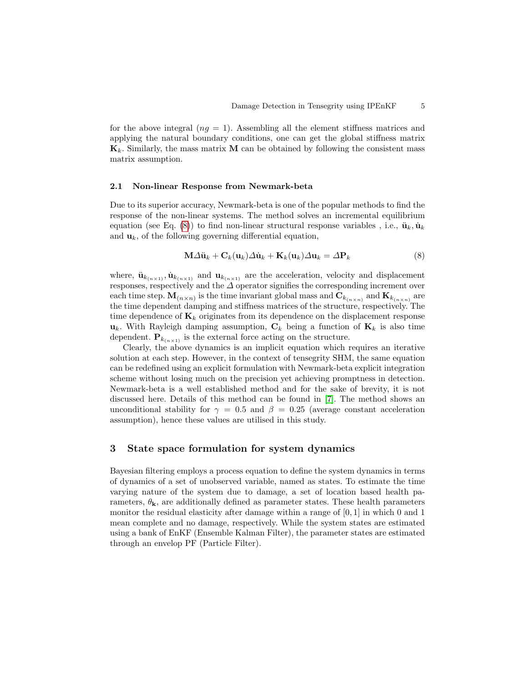for the above integral  $(nq = 1)$ . Assembling all the element stiffness matrices and applying the natural boundary conditions, one can get the global stiffness matrix  $\mathbf{K}_k$ . Similarly, the mass matrix **M** can be obtained by following the consistent mass matrix assumption.

#### 2.1 Non-linear Response from Newmark-beta

Due to its superior accuracy, Newmark-beta is one of the popular methods to find the response of the non-linear systems. The method solves an incremental equilibrium equation (see Eq. [\(8\)](#page-4-0)) to find non-linear structural response variables , i.e.,  $\ddot{\mathbf{u}}_k, \dot{\mathbf{u}}_k$ and  $\mathbf{u}_k$ , of the following governing differential equation,

<span id="page-4-0"></span>
$$
\mathbf{M}\Delta\ddot{\mathbf{u}}_k + \mathbf{C}_k(\mathbf{u}_k)\Delta\dot{\mathbf{u}}_k + \mathbf{K}_k(\mathbf{u}_k)\Delta\mathbf{u}_k = \Delta\mathbf{P}_k
$$
\n(8)

where,  $\ddot{\mathbf{u}}_{k_{(n\times1)}}, \dot{\mathbf{u}}_{k_{(n\times1)}}$  and  $\mathbf{u}_{k_{(n\times1)}}$  are the acceleration, velocity and displacement responses, respectively and the  $\Delta$  operator signifies the corresponding increment over each time step.  $\mathbf{M}_{(n \times n)}$  is the time invariant global mass and  $\mathbf{C}_{k_{(n \times n)}}$  and  $\mathbf{K}_{k_{(n \times n)}}$  are the time dependent damping and stiffness matrices of the structure, respectively. The time dependence of  $\mathbf{K}_k$  originates from its dependence on the displacement response  $u_k$ . With Rayleigh damping assumption,  $C_k$  being a function of  $K_k$  is also time dependent.  $\mathbf{P}_{k_{(n\times1)}}$  is the external force acting on the structure.

Clearly, the above dynamics is an implicit equation which requires an iterative solution at each step. However, in the context of tensegrity SHM, the same equation can be redefined using an explicit formulation with Newmark-beta explicit integration scheme without losing much on the precision yet achieving promptness in detection. Newmark-beta is a well established method and for the sake of brevity, it is not discussed here. Details of this method can be found in [\[7\]](#page-9-6). The method shows an unconditional stability for  $\gamma = 0.5$  and  $\beta = 0.25$  (average constant acceleration assumption), hence these values are utilised in this study.

## 3 State space formulation for system dynamics

Bayesian filtering employs a process equation to define the system dynamics in terms of dynamics of a set of unobserved variable, named as states. To estimate the time varying nature of the system due to damage, a set of location based health parameters,  $\theta_{\mathbf{k}}$ , are additionally defined as parameter states. These health parameters monitor the residual elasticity after damage within a range of  $[0, 1]$  in which 0 and 1 mean complete and no damage, respectively. While the system states are estimated using a bank of EnKF (Ensemble Kalman Filter), the parameter states are estimated through an envelop PF (Particle Filter).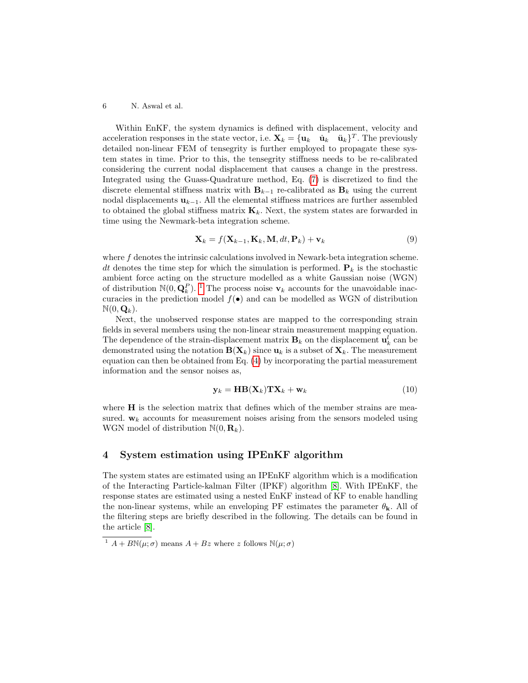Within EnKF, the system dynamics is defined with displacement, velocity and acceleration responses in the state vector, i.e.  $\mathbf{X}_k = {\mathbf{u}_k \quad \dot{\mathbf{u}}_k \quad \ddot{\mathbf{u}}_k}^T$ . The previously detailed non-linear FEM of tensegrity is further employed to propagate these system states in time. Prior to this, the tensegrity stiffness needs to be re-calibrated considering the current nodal displacement that causes a change in the prestress. Integrated using the Guass-Quadrature method, Eq. [\(7\)](#page-3-1) is discretized to find the discrete elemental stiffness matrix with  $B_{k-1}$  re-calibrated as  $B_k$  using the current nodal displacements  $\mathbf{u}_{k-1}$ . All the elemental stiffness matrices are further assembled to obtained the global stiffness matrix  $\mathbf{K}_k$ . Next, the system states are forwarded in time using the Newmark-beta integration scheme.

<span id="page-5-1"></span>
$$
\mathbf{X}_k = f(\mathbf{X}_{k-1}, \mathbf{K}_k, \mathbf{M}, dt, \mathbf{P}_k) + \mathbf{v}_k
$$
\n(9)

where f denotes the intrinsic calculations involved in Newark-beta integration scheme. dt denotes the time step for which the simulation is performed.  $P_k$  is the stochastic ambient force acting on the structure modelled as a white Gaussian noise (WGN) of distribution  $\mathbb{N}(0, \mathbf{Q}_k^P)$ . <sup>[1](#page-5-0)</sup> The process noise  $\mathbf{v}_k$  accounts for the unavoidable inaccuracies in the prediction model  $f(\bullet)$  and can be modelled as WGN of distribution  $\mathbb{N}(0, \mathbf{Q}_k)$ .

Next, the unobserved response states are mapped to the corresponding strain fields in several members using the non-linear strain measurement mapping equation. The dependence of the strain-displacement matrix  $\mathbf{B}_k$  on the displacement  $\mathbf{u}_k^l$  can be demonstrated using the notation  $B(\mathbf{X}_k)$  since  $\mathbf{u}_k$  is a subset of  $\mathbf{X}_k$ . The measurement equation can then be obtained from Eq. [\(4\)](#page-3-2) by incorporating the partial measurement information and the sensor noises as,

<span id="page-5-2"></span>
$$
\mathbf{y}_k = \mathbf{H}\mathbf{B}(\mathbf{X}_k)\mathbf{T}\mathbf{X}_k + \mathbf{w}_k
$$
\n(10)

where **H** is the selection matrix that defines which of the member strains are measured.  $w_k$  accounts for measurement noises arising from the sensors modeled using WGN model of distribution  $\mathbb{N}(0, \mathbf{R}_k)$ .

## 4 System estimation using IPEnKF algorithm

The system states are estimated using an IPEnKF algorithm which is a modification of the Interacting Particle-kalman Filter (IPKF) algorithm [\[8\]](#page-9-7). With IPEnKF, the response states are estimated using a nested EnKF instead of KF to enable handling the non-linear systems, while an enveloping PF estimates the parameter  $\theta_{\mathbf{k}}$ . All of the filtering steps are briefly described in the following. The details can be found in the article [\[8\]](#page-9-7).

<span id="page-5-0"></span><sup>&</sup>lt;sup>1</sup>  $A + B\mathbb{N}(\mu;\sigma)$  means  $A + Bz$  where z follows  $\mathbb{N}(\mu;\sigma)$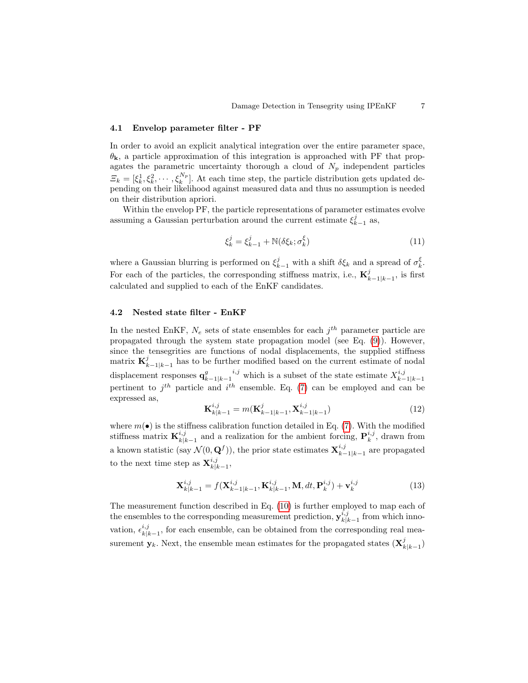## 4.1 Envelop parameter filter - PF

In order to avoid an explicit analytical integration over the entire parameter space,  $\theta_{\mathbf{k}}$ , a particle approximation of this integration is approached with PF that propagates the parametric uncertainty thorough a cloud of  $N_p$  independent particles  $\mathcal{Z}_k = [\xi_k^1, \xi_k^2, \cdots, \xi_k^{N_p}].$  At each time step, the particle distribution gets updated depending on their likelihood against measured data and thus no assumption is needed on their distribution apriori.

Within the envelop PF, the particle representations of parameter estimates evolve assuming a Gaussian perturbation around the current estimate  $\xi_{k-1}^j$  as,

$$
\xi_k^j = \xi_{k-1}^j + \mathbb{N}(\delta \xi_k; \sigma_k^{\xi}) \tag{11}
$$

where a Gaussian blurring is performed on  $\xi_{k-1}^j$  with a shift  $\delta \xi_k$  and a spread of  $\sigma_k^{\xi}$ . For each of the particles, the corresponding stiffness matrix, i.e.,  $\mathbf{K}_i^j$  $_{k-1|k-1}^{j},$  is first calculated and supplied to each of the EnKF candidates.

## 4.2 Nested state filter - EnKF

In the nested EnKF,  $N_e$  sets of state ensembles for each  $j^{th}$  parameter particle are propagated through the system state propagation model (see Eq. [\(9\)](#page-5-1)). However, since the tensegrities are functions of nodal displacements, the supplied stiffness matrix  $\mathbf{K}_{k}^{j}$  $\sum_{k-1|k-1}^{j}$  has to be further modified based on the current estimate of nodal displacement responses  $\mathbf{q}^g_{\nu}$  $\sum_{k-1|k-1}^{i,j}$  which is a subset of the state estimate  $X_{k-1}^{i,j}$  $\frac{k-1}{k-1}$ pertinent to  $j^{th}$  particle and  $i^{th}$  ensemble. Eq. [\(7\)](#page-3-1) can be employed and can be expressed as,

$$
\mathbf{K}_{k|k-1}^{i,j} = m(\mathbf{K}_{k-1|k-1}^{j}, \mathbf{X}_{k-1|k-1}^{i,j})
$$
\n(12)

where  $m(\bullet)$  is the stiffness calibration function detailed in Eq. [\(7\)](#page-3-1). With the modified stiffness matrix  $\mathbf{K}_{k|i}^{i,j}$  $i,j$ <sub>k|k−1</sub> and a realization for the ambient forcing,  $\mathbf{P}_k^{i,j}$ , drawn from a known statistic (say  $\mathcal{N}(0, \mathbf{Q}^f)$ ), the prior state estimates  $\mathbf{X}_{k-1}^{i,j}$  $_{k-1|k-1}^{i,j}$  are propagated to the next time step as  $\mathbf{X}_{k|l}^{i,j}$  $\genfrac{}{}{0pt}{}{\scriptstyle{k,j}}{\scriptstyle{k|k-1}},$ 

$$
\mathbf{X}_{k|k-1}^{i,j} = f(\mathbf{X}_{k-1|k-1}^{i,j}, \mathbf{K}_{k|k-1}^{i,j}, \mathbf{M}, dt, \mathbf{P}_k^{i,j}) + \mathbf{v}_k^{i,j}
$$
(13)

The measurement function described in Eq. [\(10\)](#page-5-2) is further employed to map each of the ensembles to the corresponding measurement prediction,  $\mathbf{y}_{k|l}^{i,j}$  $\sum_{k=k-1}^{i,j}$  from which innovation,  $\epsilon_{\nu}^{i,j}$  $\frac{k_{k}}{k|k-1}$ , for each ensemble, can be obtained from the corresponding real measurement  $\mathbf{y}_k$ . Next, the ensemble mean estimates for the propagated states  $(\mathbf{X}_k^j)$  $_{k|k-1}^{j})$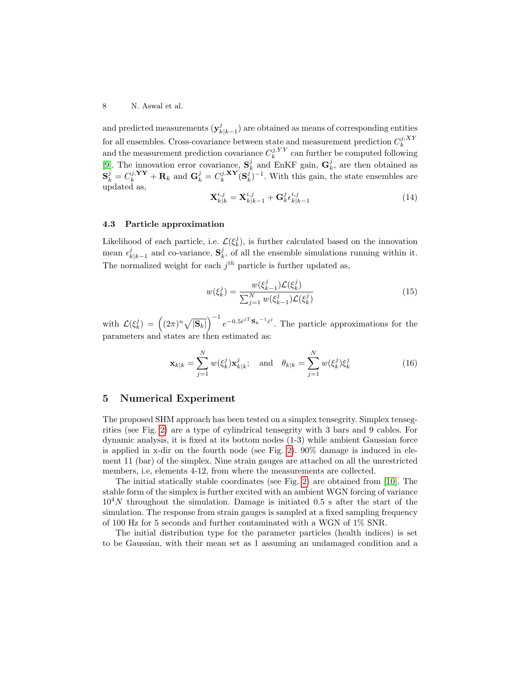and predicted measurements  $(\mathbf{y}_k^j)$  $_{k|k-1}^{j}$  are obtained as means of corresponding entities for all ensembles. Cross-covariance between state and measurement prediction  $C_k^{j,XY}$ and the measurement prediction covariance  $C_k^{j,YY}$  can further be computed following [\[9\]](#page-9-8). The innovation error covariance,  $S_k^j$  and EnKF gain,  $G_k^j$ , are then obtained as  $S_k^j = C_k^{j, \mathbf{YY}} + \mathbf{R}_k$  and  $\mathbf{G}_k^j = C_k^{j, \mathbf{XY}} (\mathbf{S}_k^j)^{-1}$ . With this gain, the state ensembles are updated as,

$$
\mathbf{X}_{k|k}^{i,j} = \mathbf{X}_{k|k-1}^{i,j} + \mathbf{G}_k^j \epsilon_{k|k-1}^{i,j}
$$
 (14)

#### 4.3 Particle approximation

Likelihood of each particle, i.e.  $\mathcal{L}(\xi_k^j)$ , is further calculated based on the innovation mean  $\epsilon_{\iota}^j$  $k|k-1|$  and co-variance,  $S_k^j$ , of all the ensemble simulations running within it. The normalized weight for each  $j<sup>th</sup>$  particle is further updated as,

$$
w(\xi_k^j) = \frac{w(\xi_{k-1}^j)\mathcal{L}(\xi_k^j)}{\sum_{j=1}^N w(\xi_{k-1}^j)\mathcal{L}(\xi_k^j)}
$$
(15)

with  $\mathcal{L}(\xi_k^j) = \left( (2\pi)^n \sqrt{|\mathbf{S}_k|} \right)^{-1} e^{-0.5\bar{\epsilon}^{jT} \mathbf{S}_k^{-1} \bar{\epsilon}^j}$ . The particle approximations for the parameters and states are then estimated as:

$$
\mathbf{x}_{k|k} = \sum_{j=1}^{N} w(\xi_k^j) \mathbf{x}_{k|k}^j; \quad \text{and} \quad \theta_{k|k} = \sum_{j=1}^{N} w(\xi_k^j) \xi_k^j
$$
 (16)

# 5 Numerical Experiment

The proposed SHM approach has been tested on a simplex tensegrity. Simplex tensegrities (see Fig. [2\)](#page-8-0) are a type of cylindrical tensegrity with 3 bars and 9 cables. For dynamic analysis, it is fixed at its bottom nodes (1-3) while ambient Gaussian force is applied in x-dir on the fourth node (see Fig. [2\)](#page-8-0). 90% damage is induced in element 11 (bar) of the simplex. Nine strain gauges are attached on all the unrestricted members, i.e, elements 4-12, from where the measurements are collected.

The initial statically stable coordinates (see Fig. [2\)](#page-8-0) are obtained from [\[10\]](#page-9-9). The stable form of the simplex is further excited with an ambient WGN forcing of variance  $10<sup>4</sup>N$  throughout the simulation. Damage is initiated 0.5 s after the start of the simulation. The response from strain gauges is sampled at a fixed sampling frequency of 100 Hz for 5 seconds and further contaminated with a WGN of 1% SNR.

The initial distribution type for the parameter particles (health indices) is set to be Gaussian, with their mean set as 1 assuming an undamaged condition and a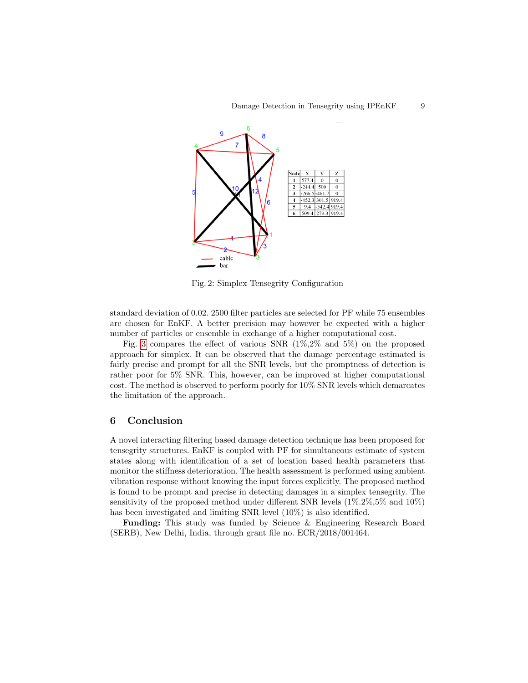<span id="page-8-0"></span>

Fig. 2: Simplex Tensegrity Configuration

standard deviation of 0.02. 2500 filter particles are selected for PF while 75 ensembles are chosen for EnKF. A better precision may however be expected with a higher number of particles or ensemble in exchange of a higher computational cost.

Fig. [3](#page-9-10) compares the effect of various SNR (1%,2% and 5%) on the proposed approach for simplex. It can be observed that the damage percentage estimated is fairly precise and prompt for all the SNR levels, but the promptness of detection is rather poor for 5% SNR. This, however, can be improved at higher computational cost. The method is observed to perform poorly for 10% SNR levels which demarcates the limitation of the approach.

#### 6 Conclusion

A novel interacting filtering based damage detection technique has been proposed for tensegrity structures. EnKF is coupled with PF for simultaneous estimate of system states along with identification of a set of location based health parameters that monitor the stiffness deterioration. The health assessment is performed using ambient vibration response without knowing the input forces explicitly. The proposed method is found to be prompt and precise in detecting damages in a simplex tensegrity. The sensitivity of the proposed method under different SNR levels (1%.2%,5% and 10%) has been investigated and limiting SNR level (10%) is also identified.

Funding: This study was funded by Science & Engineering Research Board (SERB), New Delhi, India, through grant file no. ECR/2018/001464.